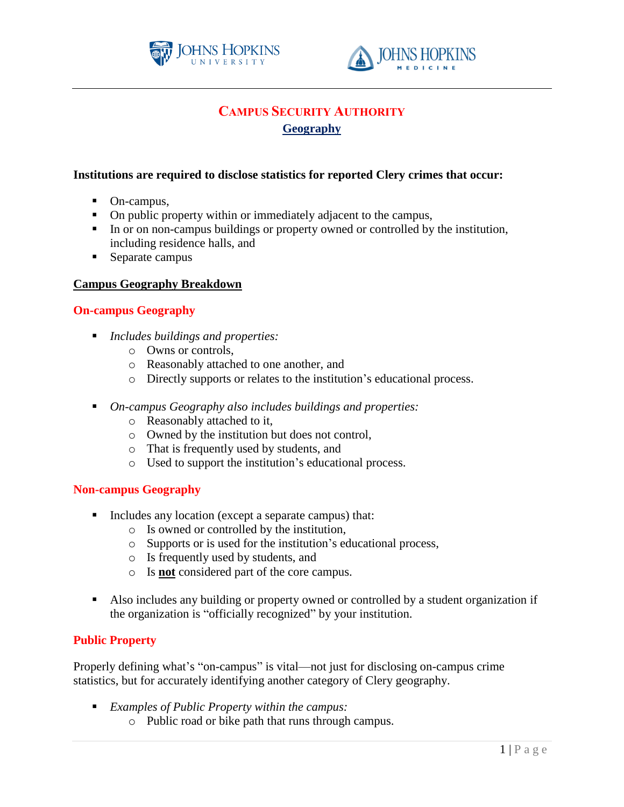



# **CAMPUS SECURITY AUTHORITY Geography**

### **Institutions are required to disclose statistics for reported Clery crimes that occur:**

- On-campus,
- On public property within or immediately adjacent to the campus,
- In or on non-campus buildings or property owned or controlled by the institution, including residence halls, and
- Separate campus

## **Campus Geography Breakdown**

### **On-campus Geography**

- *Includes buildings and properties:*
	- o Owns or controls,
	- o Reasonably attached to one another, and
	- o Directly supports or relates to the institution's educational process.
- *On-campus Geography also includes buildings and properties:*
	- o Reasonably attached to it,
	- o Owned by the institution but does not control,
	- o That is frequently used by students, and
	- o Used to support the institution's educational process.

### **Non-campus Geography**

- Includes any location (except a separate campus) that:
	- o Is owned or controlled by the institution,
	- o Supports or is used for the institution's educational process,
	- o Is frequently used by students, and
	- o Is **not** considered part of the core campus.
- Also includes any building or property owned or controlled by a student organization if the organization is "officially recognized" by your institution.

### **Public Property**

Properly defining what's "on-campus" is vital—not just for disclosing on-campus crime statistics, but for accurately identifying another category of Clery geography.

- *Examples of Public Property within the campus:*
	- o Public road or bike path that runs through campus.